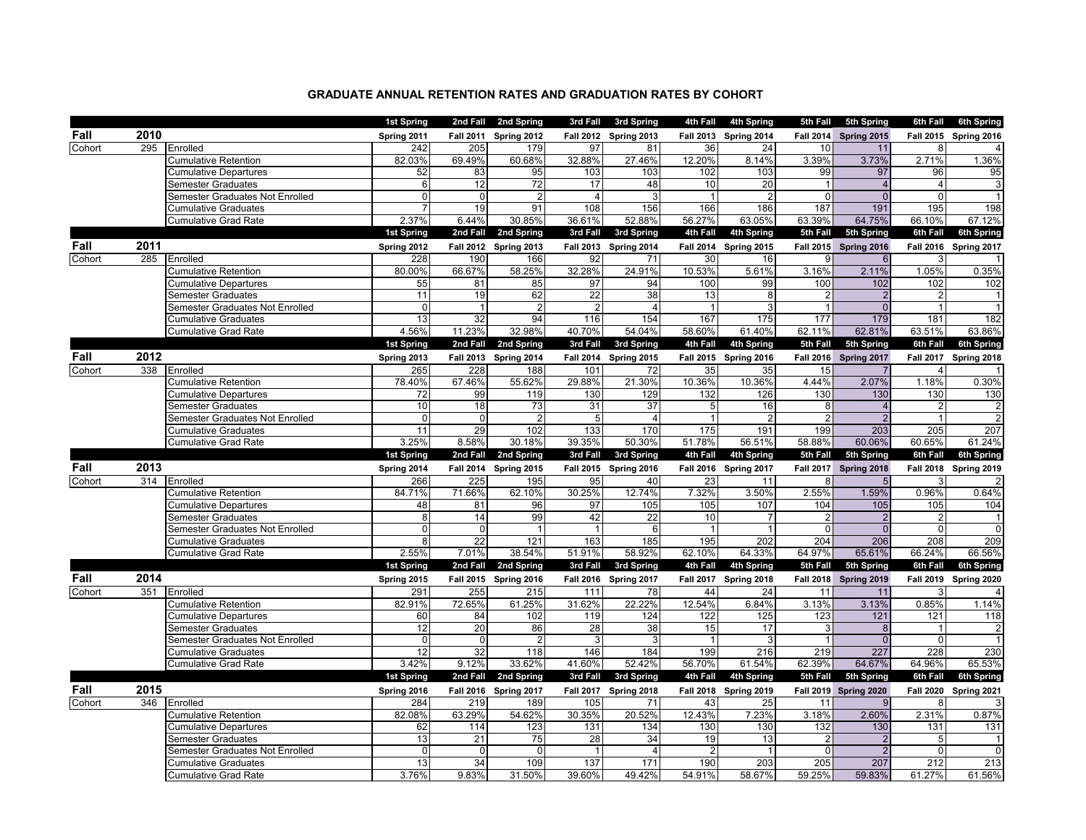## **GRADUATE ANNUAL RETENTION RATES AND GRADUATION RATES BY COHORT**

|        |      |                                                            | 1st Spring      |                 | 2nd Fall 2nd Spring   |                 | 3rd Fall 3rd Spring   | 4th Fall        | <b>4th Spring</b>     |                         | 5th Fall 5th Spring   | 6th Fall         | 6th Spring            |
|--------|------|------------------------------------------------------------|-----------------|-----------------|-----------------------|-----------------|-----------------------|-----------------|-----------------------|-------------------------|-----------------------|------------------|-----------------------|
| Fall   | 2010 |                                                            | Spring 2011     |                 | Fall 2011 Spring 2012 |                 | Fall 2012 Spring 2013 |                 | Fall 2013 Spring 2014 |                         | Fall 2014 Spring 2015 |                  | Fall 2015 Spring 2016 |
| Cohort | 295  | Enrolled                                                   | 242             | 205             | 179                   | 97              | 81                    | 36              | 24                    | 10                      | 11                    | 8                |                       |
|        |      | <b>Cumulative Retention</b>                                | 82.03%          | 69.49%          | 60.68%                | 32.88%          | 27.46%                | 12.20%          | 8.14%                 | 3.39%                   | 3.73%                 | 2.71%            | 1.36%                 |
|        |      | <b>Cumulative Departures</b>                               | 52              | 83              | 95                    | 103             | 103                   | 102             | 103                   | 99                      | 97                    | 96               | 95                    |
|        |      | <b>Semester Graduates</b>                                  | 6               | 12              | 72                    | 17              | 48                    | 10              | 20                    | $\overline{1}$          | $\overline{4}$        | $\overline{4}$   | 3                     |
|        |      | Semester Graduates Not Enrolled                            | $\Omega$        | $\mathbf{0}$    | $\overline{2}$        | $\overline{4}$  | 3                     | $\overline{1}$  | $\mathfrak{p}$        | $\Omega$                | $\Omega$              | $\Omega$         | $\overline{1}$        |
|        |      | <b>Cumulative Graduates</b>                                |                 | 19              | 91                    | 108             | 156                   | 166             | 186                   | 187                     | 191                   | 195              | 198                   |
|        |      | <b>Cumulative Grad Rate</b>                                | 2.37%           | 6.44%           | 30.85%                | 36.61%          | 52.88%                | 56.27%          | 63.05%                | 63.39%                  | 64.75%                | 66.10%           | 67.12%                |
|        |      |                                                            | 1st Spring      |                 | 2nd Fall 2nd Spring   | 3rd Fall        | 3rd Spring            | 4th Fall        | 4th Spring            | 5th Fall                | 5th Spring            | 6th Fall         | 6th Spring            |
| Fall   | 2011 |                                                            | Spring 2012     |                 | Fall 2012 Spring 2013 |                 | Fall 2013 Spring 2014 |                 | Fall 2014 Spring 2015 |                         | Fall 2015 Spring 2016 |                  | Fall 2016 Spring 2017 |
| Cohort | 285  | Enrolled                                                   | 228             | 190             | 166                   | 92              | 71                    | 30              | 16                    | 9                       | 6                     | 3                |                       |
|        |      | <b>Cumulative Retention</b>                                | 80.00%          | 66.67%          | 58.25%                | 32.28%          | 24.91%                | 10.53%          | 5.61%                 | 3.16%                   | 2.11%                 | 1.05%            | 0.35%                 |
|        |      | <b>Cumulative Departures</b>                               | 55              | 81              | 85                    | 97              | 94                    | 100             | 99                    | 100                     | 102                   | 102              | 102                   |
|        |      | <b>Semester Graduates</b>                                  | 11              | 19              | 62                    | $\overline{22}$ | 38                    | 13              | 8                     | $\overline{2}$          |                       | $\overline{2}$   |                       |
|        |      | Semester Graduates Not Enrolled                            | $\overline{0}$  | $\mathbf{1}$    | $\overline{2}$        | $\overline{2}$  | 4                     | $\mathbf{1}$    | 3                     | $\overline{\mathbf{1}}$ | $\Omega$              |                  | $\overline{1}$        |
|        |      | <b>Cumulative Graduates</b>                                | 13              | 32              | 94                    | 116             | 154                   | 167             | 175                   | 177                     | 179                   | 181              | 182                   |
|        |      | <b>Cumulative Grad Rate</b>                                | 4.56%           | 11.23%          | 32.98%                | 40.70%          | 54.04%                | 58.60%          | 61.40%                | 62.11%                  | 62.81%                | 63.51%           | 63.86%                |
|        |      |                                                            | 1st Spring      | 2nd Fall        | 2nd Spring            | 3rd Fall        | 3rd Spring            | 4th Fall        | 4th Spring            | 5th Fall                | 5th Spring            | 6th Fall         | 6th Spring            |
| Fall   | 2012 |                                                            | Spring 2013     |                 | Fall 2013 Spring 2014 |                 | Fall 2014 Spring 2015 |                 | Fall 2015 Spring 2016 |                         | Fall 2016 Spring 2017 |                  | Fall 2017 Spring 2018 |
| Cohort | 338  | Enrolled                                                   | 265             | 228             | 188                   | 101             | 72                    | 35              | 35                    | 15                      |                       | $\overline{4}$   |                       |
|        |      | <b>Cumulative Retention</b>                                | 78.40%          | 67.46%          | 55.62%                | 29.88%          | 21.30%                | 10.36%          | 10.36%                | 4.44%                   | 2.07%                 | 1.18%            | 0.30%                 |
|        |      | <b>Cumulative Departures</b>                               | 72              | 99              | 119                   | 130             | 129                   | 132             | 126                   | 130                     | 130                   | 130              | 130                   |
|        |      | <b>Semester Graduates</b>                                  | 10 <sup>1</sup> | 18              | 73                    | 31              | 37                    | $5\phantom{.0}$ | 16                    | 8                       |                       |                  | $\overline{2}$        |
|        |      | Semester Graduates Not Enrolled                            | $\overline{0}$  | $\mathbf 0$     | $\overline{2}$        | 5               | 4                     | $\mathbf{1}$    |                       | $\overline{2}$          |                       |                  |                       |
|        |      | <b>Cumulative Graduates</b>                                | 11              | 29              | 102                   | 133             | 170                   | 175             | 191                   | 199                     | 203                   | 205              | 207                   |
|        |      | <b>Cumulative Grad Rate</b>                                | 3.25%           | 8.58%           | 30.18%                | 39.35%          | 50.30%                | 51.78%          | 56.51%                | 58.88%                  | 60.06%                | 60.65%           | 61.24%                |
|        |      |                                                            | 1st Spring      |                 | 2nd Fall 2nd Spring   | 3rd Fall        | 3rd Spring            | 4th Fall        | 4th Spring            | 5th Fall                | 5th Spring            | 6th Fall         | 6th Spring            |
| Fall   | 2013 |                                                            | Spring 2014     |                 | Fall 2014 Spring 2015 |                 | Fall 2015 Spring 2016 |                 | Fall 2016 Spring 2017 |                         | Fall 2017 Spring 2018 | <b>Fall 2018</b> | Spring 2019           |
| Cohort | 314  | Enrolled                                                   | 266             | 225             | 195                   | 95              | 40                    | 23              | 11                    | 8                       | 5                     |                  |                       |
|        |      | <b>Cumulative Retention</b>                                | 84.71%          | 71.66%          | 62.10%                | 30.25%          | 12.74%                | 7.32%           | 3.50%                 | 2.55%                   | 1.59%                 | 0.96%            | 0.64%                 |
|        |      | <b>Cumulative Departures</b>                               | 48              | 81              | 96                    | 97              | 105                   | 105             | 107                   | 104                     | 105                   | 105              | 104                   |
|        |      | <b>Semester Graduates</b>                                  | 8               | 14              | 99                    | 42              | 22                    | 10              |                       | $\overline{2}$          | 2                     | 2                |                       |
|        |      | Semester Graduates Not Enrolled                            | $\overline{0}$  | $\mathbf 0$     |                       | $\overline{1}$  | 6                     | $\mathbf{1}$    | 1                     | $\mathbf 0$             | $\Omega$              | $\Omega$         | $\Omega$              |
|        |      | <b>Cumulative Graduates</b>                                | 8               | $\overline{22}$ | 121                   | 163             | 185                   | 195             | 202                   | 204                     | 206                   | 208              | 209                   |
|        |      | <b>Cumulative Grad Rate</b>                                | 2.55%           | 7.01%           | 38.54%                | 51.91%          | 58.92%                | 62.10%          | 64.33%                | 64.97%                  | 65.61%                | 66.24%           | 66.56%                |
|        |      |                                                            | 1st Spring      | 2nd Fall        | 2nd Spring            | 3rd Fall        | 3rd Spring            | 4th Fall        | 4th Spring            | 5th Fall                | 5th Spring            | 6th Fall         | 6th Spring            |
| Fall   | 2014 |                                                            | Spring 2015     |                 | Fall 2015 Spring 2016 |                 | Fall 2016 Spring 2017 |                 | Fall 2017 Spring 2018 |                         | Fall 2018 Spring 2019 |                  | Fall 2019 Spring 2020 |
| Cohort | 351  | Enrolled                                                   | 291             | 255             | 215                   | 111             | 78                    | 44              | 24                    | 11                      | 11                    | 3                | $\overline{4}$        |
|        |      | <b>Cumulative Retention</b>                                | 82.91%          | 72.65%          | 61.25%                | 31.62%          | 22.22%                | 12.54%          | 6.84%                 | 3.13%                   | 3.13%                 | 0.85%            | 1.14%                 |
|        |      | <b>Cumulative Departures</b>                               | 60              | 84              | 102                   | 119             | 124                   | 122             | 125                   | 123                     | 121                   | 121              | 118                   |
|        |      | <b>Semester Graduates</b>                                  | 12              | 20              | 86                    | 28              | 38                    | 15              | 17                    | 3                       | 8                     |                  | $\overline{2}$        |
|        |      | Semester Graduates Not Enrolled                            | $\mathbf{0}$    | $\mathbf{0}$    | $\overline{2}$        | 3               |                       |                 | 3                     | $\overline{1}$          | $\Omega$              | $\Omega$         |                       |
|        |      | <b>Cumulative Graduates</b>                                | 12              | 32              | 118                   | 146             | 184                   | 199             | 216                   | 219                     | 227                   | 228              | 230                   |
|        |      | <b>Cumulative Grad Rate</b>                                | 3.42%           | 9.12%           | 33.62%                | 41.60%          | 52.42%                | 56.70%          | 61.54%                | 62.39%                  | 64.67%                | 64.96%           | 65.53%                |
|        |      |                                                            | 1st Spring      | 2nd Fall        | 2nd Spring            | 3rd Fall        | 3rd Spring            | 4th Fall        | 4th Spring            | 5th Fall                | 5th Spring            | 6th Fall         | 6th Spring            |
| Fall   | 2015 |                                                            | Spring 2016     |                 | Fall 2016 Spring 2017 |                 | Fall 2017 Spring 2018 |                 | Fall 2018 Spring 2019 |                         | Fall 2019 Spring 2020 | <b>Fall 2020</b> | Spring 2021           |
| Cohort | 346  | Enrolled                                                   | 284             | 219             | 189                   | 105             | 71                    | 43              | 25                    | 11                      | 9                     | 8                | 3                     |
|        |      | <b>Cumulative Retention</b>                                | 82.08%          | 63.29%          | 54.62%                | 30.35%          | 20.52%                | 12.43%          | 7.23%                 | 3.18%                   | 2.60%                 | 2.31%            | 0.87%                 |
|        |      | <b>Cumulative Departures</b>                               | 62              | 114             | 123                   | 131             | 134                   | 130             | 130                   | 132                     | 130                   | 131              | 131                   |
|        |      | <b>Semester Graduates</b>                                  | 13              | 21              | 75                    | 28              | 34                    | 19              | 13                    | $\overline{2}$          | $\overline{2}$        | 5                | -1                    |
|        |      | Semester Graduates Not Enrolled                            | $\Omega$        | $\Omega$        | $\Omega$              |                 |                       | $\overline{2}$  |                       | $\Omega$                | $\overline{2}$        | $\Omega$         | $\Omega$              |
|        |      |                                                            |                 |                 |                       |                 |                       |                 |                       |                         |                       |                  |                       |
|        |      | <b>Cumulative Graduates</b><br><b>Cumulative Grad Rate</b> | 13<br>3.76%     | 34<br>9.83%     | 109<br>31.50%         | 137<br>39.60%   | 171<br>49.42%         | 190<br>54.91%   | 203<br>58.67%         | 205<br>59.25%           | 207<br>59.83%         | 212<br>61.27%    | 213<br>61.56%         |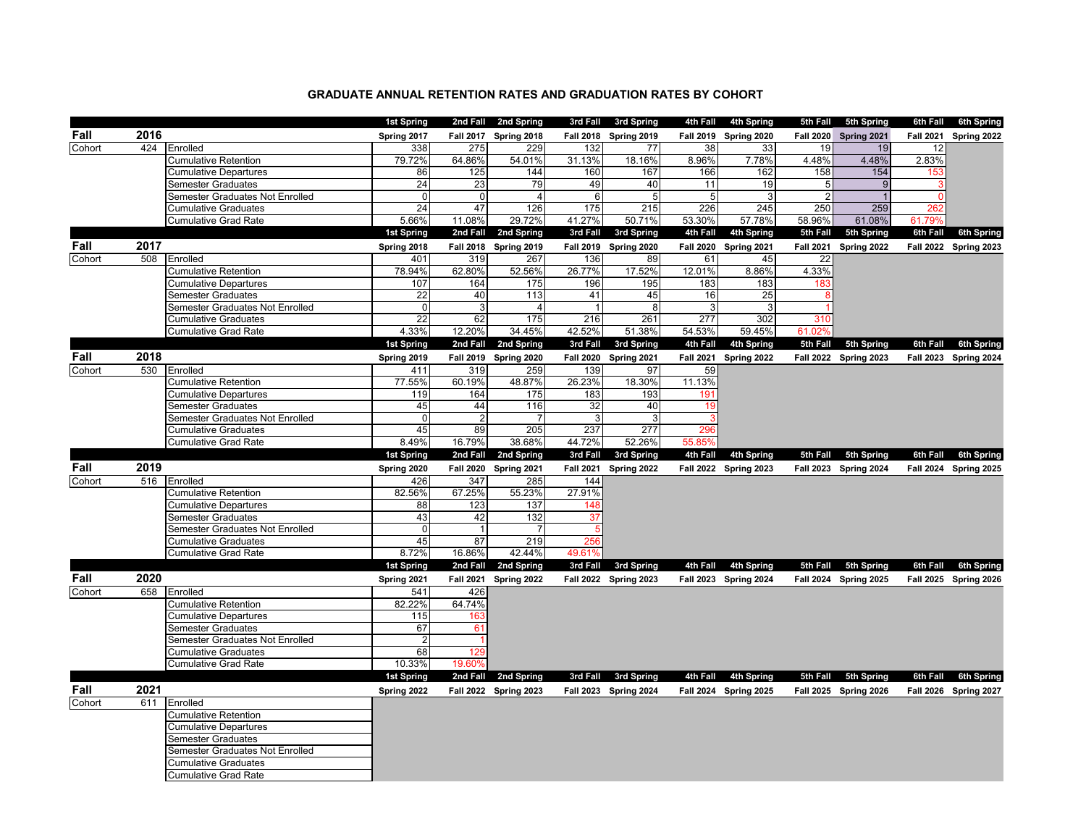## **GRADUATE ANNUAL RETENTION RATES AND GRADUATION RATES BY COHORT**

| Fall<br>2016<br>Fall 2020 Spring 2021<br>Spring 2017<br>Fall 2017 Spring 2018<br>Fall 2018 Spring 2019<br>Fall 2019 Spring 2020<br>Fall 2021 Spring 2022<br>Cohort<br>424<br>Enrolled<br>338<br>275<br>229<br>132<br>38<br>33<br>19<br>19<br>77<br>12<br>79.72%<br>4.48%<br>2.83%<br><b>Cumulative Retention</b><br>64.86%<br>54.01%<br>31.13%<br>18.16%<br>8.96%<br>7.78%<br>4.48%<br>160<br>167<br>166<br>162<br>158<br>154<br><b>Cumulative Departures</b><br>86<br>125<br>144<br>153<br>24<br>79<br>23<br>49<br>40<br>11<br>19<br><b>Semester Graduates</b><br>5<br>9<br>$\overline{2}$<br>Semester Graduates Not Enrolled<br>$\mathbf 0$<br>$\overline{0}$<br>$6\phantom{1}6$<br>5<br>5<br>3<br>Ő<br>$\overline{4}$<br>47<br>126<br>175<br>226<br>259<br><b>Cumulative Graduates</b><br>24<br>215<br>245<br>250<br>262<br>41.27%<br>53.30%<br>58.96%<br>61.08%<br><b>Cumulative Grad Rate</b><br>5.66%<br>11.08%<br>29.72%<br>50.71%<br>57.78%<br>61.79%<br>2nd Fall 2nd Spring<br>3rd Fall<br>3rd Spring<br>4th Fall<br>4th Spring<br>5th Fall<br>5th Spring<br>6th Spring<br><b>1st Spring</b><br>6th Fall<br>Fall<br>2017<br>Spring 2018<br>Fall 2018 Spring 2019<br>Fall 2019 Spring 2020<br><b>Fall 2020</b><br>Spring 2021<br><b>Fall 2021</b><br>Spring 2022<br>Fall 2022 Spring 2023<br>267<br>61<br>Cohort<br>508<br>Enrolled<br>401<br>319<br>136<br>89<br>45<br>22<br>78.94%<br>62.80%<br>52.56%<br>26.77%<br>17.52%<br>12.01%<br>8.86%<br>4.33%<br><b>Cumulative Retention</b><br>175<br>196<br>183<br>183<br><b>Cumulative Departures</b><br>107<br>164<br>195<br>183<br>22<br>40<br>113<br>41<br>16<br>25<br><b>Semester Graduates</b><br>45<br>Semester Graduates Not Enrolled<br>$\mathbf{3}$<br>$\overline{0}$<br>$\overline{1}$<br>8<br>3<br>4<br>3<br>175<br><b>Cumulative Graduates</b><br>22<br>62<br>216<br>277<br>302<br>310<br>261<br>42.52%<br><b>Cumulative Grad Rate</b><br>4.33%<br>12.20%<br>34.45%<br>51.38%<br>54.53%<br>59.45%<br>61.02%<br>2nd Spring<br>3rd Fall<br>3rd Spring<br>4th Fall<br>4th Spring<br>5th Spring<br>6th Fall<br>1st Spring<br>2nd Fall<br>5th Fall<br>6th Spring<br>2018<br>Fall<br>Fall 2019 Spring 2020<br>Spring 2021<br>Spring 2022<br>Fall 2022 Spring 2023<br>Fall 2023 Spring 2024<br>Spring 2019<br><b>Fall 2020</b><br><b>Fall 2021</b><br>Cohort<br>530<br>Enrolled<br>319<br>259<br>139<br>97<br>59<br>411<br>77.55%<br>26.23%<br>18.30%<br>11.13%<br><b>Cumulative Retention</b><br>60.19%<br>48.87%<br><b>Cumulative Departures</b><br>119<br>164<br>175<br>183<br>193<br>191<br>45<br>44<br>116<br>32<br>40<br><b>Semester Graduates</b><br>19<br>Semester Graduates Not Enrolled<br>$\mathbf{0}$<br>$\overline{2}$<br>3<br>3<br>7<br>89<br>205<br>237<br>$\overline{277}$<br><b>Cumulative Graduates</b><br>45<br>296<br>8.49%<br>16.79%<br>38.68%<br>44.72%<br>52.26%<br><b>Cumulative Grad Rate</b><br>55.85%<br>2nd Spring<br>3rd Spring<br>1st Spring<br>2nd Fall<br>3rd Fall<br>4th Fall<br>4th Spring<br>5th Fall 5th Spring<br>6th Fall<br>6th Spring<br>2019<br>Fall<br>Spring 2020<br>Fall 2020 Spring 2021<br><b>Fall 2021</b><br>Spring 2022<br>Fall 2023 Spring 2024<br>Fall 2024 Spring 2025<br>Fall 2022 Spring 2023<br>Enrolled<br>347<br>Cohort<br>516<br>426<br>285<br>144<br>82.56%<br>67.25%<br>55.23%<br><b>Cumulative Retention</b><br>27.91%<br>123<br><b>Cumulative Departures</b><br>88<br>137<br>148<br>43<br><b>Semester Graduates</b><br>42<br>132<br>37<br>Semester Graduates Not Enrolled<br>$\Omega$<br>$\overline{7}$<br>$\mathbf{1}$<br>219<br>45<br>87<br>256<br><b>Cumulative Graduates</b><br>8.72%<br><b>Cumulative Grad Rate</b><br>16.86%<br>42.44%<br>49.61%<br>2nd Spring<br>5th Spring<br><b>1st Spring</b><br>3rd Fall<br>3rd Spring<br>4th Fall<br>4th Spring<br>5th Fall<br>6th Fall<br>6th Spring<br>2nd Fall<br>Fall<br>2020<br>Spring 2021<br><b>Fall 2021</b><br>Spring 2022<br>Fall 2022 Spring 2023<br>Fall 2023 Spring 2024<br>Fall 2024 Spring 2025<br>Fall 2025 Spring 2026 |
|--------------------------------------------------------------------------------------------------------------------------------------------------------------------------------------------------------------------------------------------------------------------------------------------------------------------------------------------------------------------------------------------------------------------------------------------------------------------------------------------------------------------------------------------------------------------------------------------------------------------------------------------------------------------------------------------------------------------------------------------------------------------------------------------------------------------------------------------------------------------------------------------------------------------------------------------------------------------------------------------------------------------------------------------------------------------------------------------------------------------------------------------------------------------------------------------------------------------------------------------------------------------------------------------------------------------------------------------------------------------------------------------------------------------------------------------------------------------------------------------------------------------------------------------------------------------------------------------------------------------------------------------------------------------------------------------------------------------------------------------------------------------------------------------------------------------------------------------------------------------------------------------------------------------------------------------------------------------------------------------------------------------------------------------------------------------------------------------------------------------------------------------------------------------------------------------------------------------------------------------------------------------------------------------------------------------------------------------------------------------------------------------------------------------------------------------------------------------------------------------------------------------------------------------------------------------------------------------------------------------------------------------------------------------------------------------------------------------------------------------------------------------------------------------------------------------------------------------------------------------------------------------------------------------------------------------------------------------------------------------------------------------------------------------------------------------------------------------------------------------------------------------------------------------------------------------------------------------------------------------------------------------------------------------------------------------------------------------------------------------------------------------------------------------------------------------------------------------------------------------------------------------------------------------------------------------------------------------------------------------------------------------------------------------------------------------------------------------------------------------------------------------------------------------------------------------------------------------------------------------------------------------------------------------------------------------------------------------------------------------------------------|
|                                                                                                                                                                                                                                                                                                                                                                                                                                                                                                                                                                                                                                                                                                                                                                                                                                                                                                                                                                                                                                                                                                                                                                                                                                                                                                                                                                                                                                                                                                                                                                                                                                                                                                                                                                                                                                                                                                                                                                                                                                                                                                                                                                                                                                                                                                                                                                                                                                                                                                                                                                                                                                                                                                                                                                                                                                                                                                                                                                                                                                                                                                                                                                                                                                                                                                                                                                                                                                                                                                                                                                                                                                                                                                                                                                                                                                                                                                                                                                                                              |
|                                                                                                                                                                                                                                                                                                                                                                                                                                                                                                                                                                                                                                                                                                                                                                                                                                                                                                                                                                                                                                                                                                                                                                                                                                                                                                                                                                                                                                                                                                                                                                                                                                                                                                                                                                                                                                                                                                                                                                                                                                                                                                                                                                                                                                                                                                                                                                                                                                                                                                                                                                                                                                                                                                                                                                                                                                                                                                                                                                                                                                                                                                                                                                                                                                                                                                                                                                                                                                                                                                                                                                                                                                                                                                                                                                                                                                                                                                                                                                                                              |
|                                                                                                                                                                                                                                                                                                                                                                                                                                                                                                                                                                                                                                                                                                                                                                                                                                                                                                                                                                                                                                                                                                                                                                                                                                                                                                                                                                                                                                                                                                                                                                                                                                                                                                                                                                                                                                                                                                                                                                                                                                                                                                                                                                                                                                                                                                                                                                                                                                                                                                                                                                                                                                                                                                                                                                                                                                                                                                                                                                                                                                                                                                                                                                                                                                                                                                                                                                                                                                                                                                                                                                                                                                                                                                                                                                                                                                                                                                                                                                                                              |
|                                                                                                                                                                                                                                                                                                                                                                                                                                                                                                                                                                                                                                                                                                                                                                                                                                                                                                                                                                                                                                                                                                                                                                                                                                                                                                                                                                                                                                                                                                                                                                                                                                                                                                                                                                                                                                                                                                                                                                                                                                                                                                                                                                                                                                                                                                                                                                                                                                                                                                                                                                                                                                                                                                                                                                                                                                                                                                                                                                                                                                                                                                                                                                                                                                                                                                                                                                                                                                                                                                                                                                                                                                                                                                                                                                                                                                                                                                                                                                                                              |
|                                                                                                                                                                                                                                                                                                                                                                                                                                                                                                                                                                                                                                                                                                                                                                                                                                                                                                                                                                                                                                                                                                                                                                                                                                                                                                                                                                                                                                                                                                                                                                                                                                                                                                                                                                                                                                                                                                                                                                                                                                                                                                                                                                                                                                                                                                                                                                                                                                                                                                                                                                                                                                                                                                                                                                                                                                                                                                                                                                                                                                                                                                                                                                                                                                                                                                                                                                                                                                                                                                                                                                                                                                                                                                                                                                                                                                                                                                                                                                                                              |
|                                                                                                                                                                                                                                                                                                                                                                                                                                                                                                                                                                                                                                                                                                                                                                                                                                                                                                                                                                                                                                                                                                                                                                                                                                                                                                                                                                                                                                                                                                                                                                                                                                                                                                                                                                                                                                                                                                                                                                                                                                                                                                                                                                                                                                                                                                                                                                                                                                                                                                                                                                                                                                                                                                                                                                                                                                                                                                                                                                                                                                                                                                                                                                                                                                                                                                                                                                                                                                                                                                                                                                                                                                                                                                                                                                                                                                                                                                                                                                                                              |
|                                                                                                                                                                                                                                                                                                                                                                                                                                                                                                                                                                                                                                                                                                                                                                                                                                                                                                                                                                                                                                                                                                                                                                                                                                                                                                                                                                                                                                                                                                                                                                                                                                                                                                                                                                                                                                                                                                                                                                                                                                                                                                                                                                                                                                                                                                                                                                                                                                                                                                                                                                                                                                                                                                                                                                                                                                                                                                                                                                                                                                                                                                                                                                                                                                                                                                                                                                                                                                                                                                                                                                                                                                                                                                                                                                                                                                                                                                                                                                                                              |
|                                                                                                                                                                                                                                                                                                                                                                                                                                                                                                                                                                                                                                                                                                                                                                                                                                                                                                                                                                                                                                                                                                                                                                                                                                                                                                                                                                                                                                                                                                                                                                                                                                                                                                                                                                                                                                                                                                                                                                                                                                                                                                                                                                                                                                                                                                                                                                                                                                                                                                                                                                                                                                                                                                                                                                                                                                                                                                                                                                                                                                                                                                                                                                                                                                                                                                                                                                                                                                                                                                                                                                                                                                                                                                                                                                                                                                                                                                                                                                                                              |
|                                                                                                                                                                                                                                                                                                                                                                                                                                                                                                                                                                                                                                                                                                                                                                                                                                                                                                                                                                                                                                                                                                                                                                                                                                                                                                                                                                                                                                                                                                                                                                                                                                                                                                                                                                                                                                                                                                                                                                                                                                                                                                                                                                                                                                                                                                                                                                                                                                                                                                                                                                                                                                                                                                                                                                                                                                                                                                                                                                                                                                                                                                                                                                                                                                                                                                                                                                                                                                                                                                                                                                                                                                                                                                                                                                                                                                                                                                                                                                                                              |
|                                                                                                                                                                                                                                                                                                                                                                                                                                                                                                                                                                                                                                                                                                                                                                                                                                                                                                                                                                                                                                                                                                                                                                                                                                                                                                                                                                                                                                                                                                                                                                                                                                                                                                                                                                                                                                                                                                                                                                                                                                                                                                                                                                                                                                                                                                                                                                                                                                                                                                                                                                                                                                                                                                                                                                                                                                                                                                                                                                                                                                                                                                                                                                                                                                                                                                                                                                                                                                                                                                                                                                                                                                                                                                                                                                                                                                                                                                                                                                                                              |
|                                                                                                                                                                                                                                                                                                                                                                                                                                                                                                                                                                                                                                                                                                                                                                                                                                                                                                                                                                                                                                                                                                                                                                                                                                                                                                                                                                                                                                                                                                                                                                                                                                                                                                                                                                                                                                                                                                                                                                                                                                                                                                                                                                                                                                                                                                                                                                                                                                                                                                                                                                                                                                                                                                                                                                                                                                                                                                                                                                                                                                                                                                                                                                                                                                                                                                                                                                                                                                                                                                                                                                                                                                                                                                                                                                                                                                                                                                                                                                                                              |
|                                                                                                                                                                                                                                                                                                                                                                                                                                                                                                                                                                                                                                                                                                                                                                                                                                                                                                                                                                                                                                                                                                                                                                                                                                                                                                                                                                                                                                                                                                                                                                                                                                                                                                                                                                                                                                                                                                                                                                                                                                                                                                                                                                                                                                                                                                                                                                                                                                                                                                                                                                                                                                                                                                                                                                                                                                                                                                                                                                                                                                                                                                                                                                                                                                                                                                                                                                                                                                                                                                                                                                                                                                                                                                                                                                                                                                                                                                                                                                                                              |
|                                                                                                                                                                                                                                                                                                                                                                                                                                                                                                                                                                                                                                                                                                                                                                                                                                                                                                                                                                                                                                                                                                                                                                                                                                                                                                                                                                                                                                                                                                                                                                                                                                                                                                                                                                                                                                                                                                                                                                                                                                                                                                                                                                                                                                                                                                                                                                                                                                                                                                                                                                                                                                                                                                                                                                                                                                                                                                                                                                                                                                                                                                                                                                                                                                                                                                                                                                                                                                                                                                                                                                                                                                                                                                                                                                                                                                                                                                                                                                                                              |
|                                                                                                                                                                                                                                                                                                                                                                                                                                                                                                                                                                                                                                                                                                                                                                                                                                                                                                                                                                                                                                                                                                                                                                                                                                                                                                                                                                                                                                                                                                                                                                                                                                                                                                                                                                                                                                                                                                                                                                                                                                                                                                                                                                                                                                                                                                                                                                                                                                                                                                                                                                                                                                                                                                                                                                                                                                                                                                                                                                                                                                                                                                                                                                                                                                                                                                                                                                                                                                                                                                                                                                                                                                                                                                                                                                                                                                                                                                                                                                                                              |
|                                                                                                                                                                                                                                                                                                                                                                                                                                                                                                                                                                                                                                                                                                                                                                                                                                                                                                                                                                                                                                                                                                                                                                                                                                                                                                                                                                                                                                                                                                                                                                                                                                                                                                                                                                                                                                                                                                                                                                                                                                                                                                                                                                                                                                                                                                                                                                                                                                                                                                                                                                                                                                                                                                                                                                                                                                                                                                                                                                                                                                                                                                                                                                                                                                                                                                                                                                                                                                                                                                                                                                                                                                                                                                                                                                                                                                                                                                                                                                                                              |
|                                                                                                                                                                                                                                                                                                                                                                                                                                                                                                                                                                                                                                                                                                                                                                                                                                                                                                                                                                                                                                                                                                                                                                                                                                                                                                                                                                                                                                                                                                                                                                                                                                                                                                                                                                                                                                                                                                                                                                                                                                                                                                                                                                                                                                                                                                                                                                                                                                                                                                                                                                                                                                                                                                                                                                                                                                                                                                                                                                                                                                                                                                                                                                                                                                                                                                                                                                                                                                                                                                                                                                                                                                                                                                                                                                                                                                                                                                                                                                                                              |
|                                                                                                                                                                                                                                                                                                                                                                                                                                                                                                                                                                                                                                                                                                                                                                                                                                                                                                                                                                                                                                                                                                                                                                                                                                                                                                                                                                                                                                                                                                                                                                                                                                                                                                                                                                                                                                                                                                                                                                                                                                                                                                                                                                                                                                                                                                                                                                                                                                                                                                                                                                                                                                                                                                                                                                                                                                                                                                                                                                                                                                                                                                                                                                                                                                                                                                                                                                                                                                                                                                                                                                                                                                                                                                                                                                                                                                                                                                                                                                                                              |
|                                                                                                                                                                                                                                                                                                                                                                                                                                                                                                                                                                                                                                                                                                                                                                                                                                                                                                                                                                                                                                                                                                                                                                                                                                                                                                                                                                                                                                                                                                                                                                                                                                                                                                                                                                                                                                                                                                                                                                                                                                                                                                                                                                                                                                                                                                                                                                                                                                                                                                                                                                                                                                                                                                                                                                                                                                                                                                                                                                                                                                                                                                                                                                                                                                                                                                                                                                                                                                                                                                                                                                                                                                                                                                                                                                                                                                                                                                                                                                                                              |
|                                                                                                                                                                                                                                                                                                                                                                                                                                                                                                                                                                                                                                                                                                                                                                                                                                                                                                                                                                                                                                                                                                                                                                                                                                                                                                                                                                                                                                                                                                                                                                                                                                                                                                                                                                                                                                                                                                                                                                                                                                                                                                                                                                                                                                                                                                                                                                                                                                                                                                                                                                                                                                                                                                                                                                                                                                                                                                                                                                                                                                                                                                                                                                                                                                                                                                                                                                                                                                                                                                                                                                                                                                                                                                                                                                                                                                                                                                                                                                                                              |
|                                                                                                                                                                                                                                                                                                                                                                                                                                                                                                                                                                                                                                                                                                                                                                                                                                                                                                                                                                                                                                                                                                                                                                                                                                                                                                                                                                                                                                                                                                                                                                                                                                                                                                                                                                                                                                                                                                                                                                                                                                                                                                                                                                                                                                                                                                                                                                                                                                                                                                                                                                                                                                                                                                                                                                                                                                                                                                                                                                                                                                                                                                                                                                                                                                                                                                                                                                                                                                                                                                                                                                                                                                                                                                                                                                                                                                                                                                                                                                                                              |
|                                                                                                                                                                                                                                                                                                                                                                                                                                                                                                                                                                                                                                                                                                                                                                                                                                                                                                                                                                                                                                                                                                                                                                                                                                                                                                                                                                                                                                                                                                                                                                                                                                                                                                                                                                                                                                                                                                                                                                                                                                                                                                                                                                                                                                                                                                                                                                                                                                                                                                                                                                                                                                                                                                                                                                                                                                                                                                                                                                                                                                                                                                                                                                                                                                                                                                                                                                                                                                                                                                                                                                                                                                                                                                                                                                                                                                                                                                                                                                                                              |
|                                                                                                                                                                                                                                                                                                                                                                                                                                                                                                                                                                                                                                                                                                                                                                                                                                                                                                                                                                                                                                                                                                                                                                                                                                                                                                                                                                                                                                                                                                                                                                                                                                                                                                                                                                                                                                                                                                                                                                                                                                                                                                                                                                                                                                                                                                                                                                                                                                                                                                                                                                                                                                                                                                                                                                                                                                                                                                                                                                                                                                                                                                                                                                                                                                                                                                                                                                                                                                                                                                                                                                                                                                                                                                                                                                                                                                                                                                                                                                                                              |
|                                                                                                                                                                                                                                                                                                                                                                                                                                                                                                                                                                                                                                                                                                                                                                                                                                                                                                                                                                                                                                                                                                                                                                                                                                                                                                                                                                                                                                                                                                                                                                                                                                                                                                                                                                                                                                                                                                                                                                                                                                                                                                                                                                                                                                                                                                                                                                                                                                                                                                                                                                                                                                                                                                                                                                                                                                                                                                                                                                                                                                                                                                                                                                                                                                                                                                                                                                                                                                                                                                                                                                                                                                                                                                                                                                                                                                                                                                                                                                                                              |
|                                                                                                                                                                                                                                                                                                                                                                                                                                                                                                                                                                                                                                                                                                                                                                                                                                                                                                                                                                                                                                                                                                                                                                                                                                                                                                                                                                                                                                                                                                                                                                                                                                                                                                                                                                                                                                                                                                                                                                                                                                                                                                                                                                                                                                                                                                                                                                                                                                                                                                                                                                                                                                                                                                                                                                                                                                                                                                                                                                                                                                                                                                                                                                                                                                                                                                                                                                                                                                                                                                                                                                                                                                                                                                                                                                                                                                                                                                                                                                                                              |
|                                                                                                                                                                                                                                                                                                                                                                                                                                                                                                                                                                                                                                                                                                                                                                                                                                                                                                                                                                                                                                                                                                                                                                                                                                                                                                                                                                                                                                                                                                                                                                                                                                                                                                                                                                                                                                                                                                                                                                                                                                                                                                                                                                                                                                                                                                                                                                                                                                                                                                                                                                                                                                                                                                                                                                                                                                                                                                                                                                                                                                                                                                                                                                                                                                                                                                                                                                                                                                                                                                                                                                                                                                                                                                                                                                                                                                                                                                                                                                                                              |
|                                                                                                                                                                                                                                                                                                                                                                                                                                                                                                                                                                                                                                                                                                                                                                                                                                                                                                                                                                                                                                                                                                                                                                                                                                                                                                                                                                                                                                                                                                                                                                                                                                                                                                                                                                                                                                                                                                                                                                                                                                                                                                                                                                                                                                                                                                                                                                                                                                                                                                                                                                                                                                                                                                                                                                                                                                                                                                                                                                                                                                                                                                                                                                                                                                                                                                                                                                                                                                                                                                                                                                                                                                                                                                                                                                                                                                                                                                                                                                                                              |
|                                                                                                                                                                                                                                                                                                                                                                                                                                                                                                                                                                                                                                                                                                                                                                                                                                                                                                                                                                                                                                                                                                                                                                                                                                                                                                                                                                                                                                                                                                                                                                                                                                                                                                                                                                                                                                                                                                                                                                                                                                                                                                                                                                                                                                                                                                                                                                                                                                                                                                                                                                                                                                                                                                                                                                                                                                                                                                                                                                                                                                                                                                                                                                                                                                                                                                                                                                                                                                                                                                                                                                                                                                                                                                                                                                                                                                                                                                                                                                                                              |
|                                                                                                                                                                                                                                                                                                                                                                                                                                                                                                                                                                                                                                                                                                                                                                                                                                                                                                                                                                                                                                                                                                                                                                                                                                                                                                                                                                                                                                                                                                                                                                                                                                                                                                                                                                                                                                                                                                                                                                                                                                                                                                                                                                                                                                                                                                                                                                                                                                                                                                                                                                                                                                                                                                                                                                                                                                                                                                                                                                                                                                                                                                                                                                                                                                                                                                                                                                                                                                                                                                                                                                                                                                                                                                                                                                                                                                                                                                                                                                                                              |
|                                                                                                                                                                                                                                                                                                                                                                                                                                                                                                                                                                                                                                                                                                                                                                                                                                                                                                                                                                                                                                                                                                                                                                                                                                                                                                                                                                                                                                                                                                                                                                                                                                                                                                                                                                                                                                                                                                                                                                                                                                                                                                                                                                                                                                                                                                                                                                                                                                                                                                                                                                                                                                                                                                                                                                                                                                                                                                                                                                                                                                                                                                                                                                                                                                                                                                                                                                                                                                                                                                                                                                                                                                                                                                                                                                                                                                                                                                                                                                                                              |
|                                                                                                                                                                                                                                                                                                                                                                                                                                                                                                                                                                                                                                                                                                                                                                                                                                                                                                                                                                                                                                                                                                                                                                                                                                                                                                                                                                                                                                                                                                                                                                                                                                                                                                                                                                                                                                                                                                                                                                                                                                                                                                                                                                                                                                                                                                                                                                                                                                                                                                                                                                                                                                                                                                                                                                                                                                                                                                                                                                                                                                                                                                                                                                                                                                                                                                                                                                                                                                                                                                                                                                                                                                                                                                                                                                                                                                                                                                                                                                                                              |
|                                                                                                                                                                                                                                                                                                                                                                                                                                                                                                                                                                                                                                                                                                                                                                                                                                                                                                                                                                                                                                                                                                                                                                                                                                                                                                                                                                                                                                                                                                                                                                                                                                                                                                                                                                                                                                                                                                                                                                                                                                                                                                                                                                                                                                                                                                                                                                                                                                                                                                                                                                                                                                                                                                                                                                                                                                                                                                                                                                                                                                                                                                                                                                                                                                                                                                                                                                                                                                                                                                                                                                                                                                                                                                                                                                                                                                                                                                                                                                                                              |
|                                                                                                                                                                                                                                                                                                                                                                                                                                                                                                                                                                                                                                                                                                                                                                                                                                                                                                                                                                                                                                                                                                                                                                                                                                                                                                                                                                                                                                                                                                                                                                                                                                                                                                                                                                                                                                                                                                                                                                                                                                                                                                                                                                                                                                                                                                                                                                                                                                                                                                                                                                                                                                                                                                                                                                                                                                                                                                                                                                                                                                                                                                                                                                                                                                                                                                                                                                                                                                                                                                                                                                                                                                                                                                                                                                                                                                                                                                                                                                                                              |
|                                                                                                                                                                                                                                                                                                                                                                                                                                                                                                                                                                                                                                                                                                                                                                                                                                                                                                                                                                                                                                                                                                                                                                                                                                                                                                                                                                                                                                                                                                                                                                                                                                                                                                                                                                                                                                                                                                                                                                                                                                                                                                                                                                                                                                                                                                                                                                                                                                                                                                                                                                                                                                                                                                                                                                                                                                                                                                                                                                                                                                                                                                                                                                                                                                                                                                                                                                                                                                                                                                                                                                                                                                                                                                                                                                                                                                                                                                                                                                                                              |
|                                                                                                                                                                                                                                                                                                                                                                                                                                                                                                                                                                                                                                                                                                                                                                                                                                                                                                                                                                                                                                                                                                                                                                                                                                                                                                                                                                                                                                                                                                                                                                                                                                                                                                                                                                                                                                                                                                                                                                                                                                                                                                                                                                                                                                                                                                                                                                                                                                                                                                                                                                                                                                                                                                                                                                                                                                                                                                                                                                                                                                                                                                                                                                                                                                                                                                                                                                                                                                                                                                                                                                                                                                                                                                                                                                                                                                                                                                                                                                                                              |
|                                                                                                                                                                                                                                                                                                                                                                                                                                                                                                                                                                                                                                                                                                                                                                                                                                                                                                                                                                                                                                                                                                                                                                                                                                                                                                                                                                                                                                                                                                                                                                                                                                                                                                                                                                                                                                                                                                                                                                                                                                                                                                                                                                                                                                                                                                                                                                                                                                                                                                                                                                                                                                                                                                                                                                                                                                                                                                                                                                                                                                                                                                                                                                                                                                                                                                                                                                                                                                                                                                                                                                                                                                                                                                                                                                                                                                                                                                                                                                                                              |
|                                                                                                                                                                                                                                                                                                                                                                                                                                                                                                                                                                                                                                                                                                                                                                                                                                                                                                                                                                                                                                                                                                                                                                                                                                                                                                                                                                                                                                                                                                                                                                                                                                                                                                                                                                                                                                                                                                                                                                                                                                                                                                                                                                                                                                                                                                                                                                                                                                                                                                                                                                                                                                                                                                                                                                                                                                                                                                                                                                                                                                                                                                                                                                                                                                                                                                                                                                                                                                                                                                                                                                                                                                                                                                                                                                                                                                                                                                                                                                                                              |
| Cohort<br>658<br>Enrolled<br>541<br>426                                                                                                                                                                                                                                                                                                                                                                                                                                                                                                                                                                                                                                                                                                                                                                                                                                                                                                                                                                                                                                                                                                                                                                                                                                                                                                                                                                                                                                                                                                                                                                                                                                                                                                                                                                                                                                                                                                                                                                                                                                                                                                                                                                                                                                                                                                                                                                                                                                                                                                                                                                                                                                                                                                                                                                                                                                                                                                                                                                                                                                                                                                                                                                                                                                                                                                                                                                                                                                                                                                                                                                                                                                                                                                                                                                                                                                                                                                                                                                      |
| 82.22%<br>64.74%<br><b>Cumulative Retention</b>                                                                                                                                                                                                                                                                                                                                                                                                                                                                                                                                                                                                                                                                                                                                                                                                                                                                                                                                                                                                                                                                                                                                                                                                                                                                                                                                                                                                                                                                                                                                                                                                                                                                                                                                                                                                                                                                                                                                                                                                                                                                                                                                                                                                                                                                                                                                                                                                                                                                                                                                                                                                                                                                                                                                                                                                                                                                                                                                                                                                                                                                                                                                                                                                                                                                                                                                                                                                                                                                                                                                                                                                                                                                                                                                                                                                                                                                                                                                                              |
| <b>Cumulative Departures</b><br>115<br>163                                                                                                                                                                                                                                                                                                                                                                                                                                                                                                                                                                                                                                                                                                                                                                                                                                                                                                                                                                                                                                                                                                                                                                                                                                                                                                                                                                                                                                                                                                                                                                                                                                                                                                                                                                                                                                                                                                                                                                                                                                                                                                                                                                                                                                                                                                                                                                                                                                                                                                                                                                                                                                                                                                                                                                                                                                                                                                                                                                                                                                                                                                                                                                                                                                                                                                                                                                                                                                                                                                                                                                                                                                                                                                                                                                                                                                                                                                                                                                   |
| 67<br>Semester Graduates<br>61                                                                                                                                                                                                                                                                                                                                                                                                                                                                                                                                                                                                                                                                                                                                                                                                                                                                                                                                                                                                                                                                                                                                                                                                                                                                                                                                                                                                                                                                                                                                                                                                                                                                                                                                                                                                                                                                                                                                                                                                                                                                                                                                                                                                                                                                                                                                                                                                                                                                                                                                                                                                                                                                                                                                                                                                                                                                                                                                                                                                                                                                                                                                                                                                                                                                                                                                                                                                                                                                                                                                                                                                                                                                                                                                                                                                                                                                                                                                                                               |
| Semester Graduates Not Enrolled<br>2                                                                                                                                                                                                                                                                                                                                                                                                                                                                                                                                                                                                                                                                                                                                                                                                                                                                                                                                                                                                                                                                                                                                                                                                                                                                                                                                                                                                                                                                                                                                                                                                                                                                                                                                                                                                                                                                                                                                                                                                                                                                                                                                                                                                                                                                                                                                                                                                                                                                                                                                                                                                                                                                                                                                                                                                                                                                                                                                                                                                                                                                                                                                                                                                                                                                                                                                                                                                                                                                                                                                                                                                                                                                                                                                                                                                                                                                                                                                                                         |
| 68<br><b>Cumulative Graduates</b><br>129                                                                                                                                                                                                                                                                                                                                                                                                                                                                                                                                                                                                                                                                                                                                                                                                                                                                                                                                                                                                                                                                                                                                                                                                                                                                                                                                                                                                                                                                                                                                                                                                                                                                                                                                                                                                                                                                                                                                                                                                                                                                                                                                                                                                                                                                                                                                                                                                                                                                                                                                                                                                                                                                                                                                                                                                                                                                                                                                                                                                                                                                                                                                                                                                                                                                                                                                                                                                                                                                                                                                                                                                                                                                                                                                                                                                                                                                                                                                                                     |
| <b>Cumulative Grad Rate</b><br>10.33%<br>19.60%                                                                                                                                                                                                                                                                                                                                                                                                                                                                                                                                                                                                                                                                                                                                                                                                                                                                                                                                                                                                                                                                                                                                                                                                                                                                                                                                                                                                                                                                                                                                                                                                                                                                                                                                                                                                                                                                                                                                                                                                                                                                                                                                                                                                                                                                                                                                                                                                                                                                                                                                                                                                                                                                                                                                                                                                                                                                                                                                                                                                                                                                                                                                                                                                                                                                                                                                                                                                                                                                                                                                                                                                                                                                                                                                                                                                                                                                                                                                                              |
| 2nd Spring<br>3rd Spring<br>5th Spring<br>1st Spring<br>2nd Fall<br>3rd Fall<br>4th Fall<br>4th Spring<br>5th Fall<br>6th Fall<br>6th Spring                                                                                                                                                                                                                                                                                                                                                                                                                                                                                                                                                                                                                                                                                                                                                                                                                                                                                                                                                                                                                                                                                                                                                                                                                                                                                                                                                                                                                                                                                                                                                                                                                                                                                                                                                                                                                                                                                                                                                                                                                                                                                                                                                                                                                                                                                                                                                                                                                                                                                                                                                                                                                                                                                                                                                                                                                                                                                                                                                                                                                                                                                                                                                                                                                                                                                                                                                                                                                                                                                                                                                                                                                                                                                                                                                                                                                                                                 |
| 2021<br>Fall<br>Spring 2022<br>Fall 2022 Spring 2023<br>Fall 2023 Spring 2024<br>Fall 2024 Spring 2025<br>Fall 2025 Spring 2026<br>Fall 2026 Spring 2027                                                                                                                                                                                                                                                                                                                                                                                                                                                                                                                                                                                                                                                                                                                                                                                                                                                                                                                                                                                                                                                                                                                                                                                                                                                                                                                                                                                                                                                                                                                                                                                                                                                                                                                                                                                                                                                                                                                                                                                                                                                                                                                                                                                                                                                                                                                                                                                                                                                                                                                                                                                                                                                                                                                                                                                                                                                                                                                                                                                                                                                                                                                                                                                                                                                                                                                                                                                                                                                                                                                                                                                                                                                                                                                                                                                                                                                     |
| Enrolled<br>Cohort<br>611                                                                                                                                                                                                                                                                                                                                                                                                                                                                                                                                                                                                                                                                                                                                                                                                                                                                                                                                                                                                                                                                                                                                                                                                                                                                                                                                                                                                                                                                                                                                                                                                                                                                                                                                                                                                                                                                                                                                                                                                                                                                                                                                                                                                                                                                                                                                                                                                                                                                                                                                                                                                                                                                                                                                                                                                                                                                                                                                                                                                                                                                                                                                                                                                                                                                                                                                                                                                                                                                                                                                                                                                                                                                                                                                                                                                                                                                                                                                                                                    |
| <b>Cumulative Retention</b>                                                                                                                                                                                                                                                                                                                                                                                                                                                                                                                                                                                                                                                                                                                                                                                                                                                                                                                                                                                                                                                                                                                                                                                                                                                                                                                                                                                                                                                                                                                                                                                                                                                                                                                                                                                                                                                                                                                                                                                                                                                                                                                                                                                                                                                                                                                                                                                                                                                                                                                                                                                                                                                                                                                                                                                                                                                                                                                                                                                                                                                                                                                                                                                                                                                                                                                                                                                                                                                                                                                                                                                                                                                                                                                                                                                                                                                                                                                                                                                  |
| Cumulative Departures                                                                                                                                                                                                                                                                                                                                                                                                                                                                                                                                                                                                                                                                                                                                                                                                                                                                                                                                                                                                                                                                                                                                                                                                                                                                                                                                                                                                                                                                                                                                                                                                                                                                                                                                                                                                                                                                                                                                                                                                                                                                                                                                                                                                                                                                                                                                                                                                                                                                                                                                                                                                                                                                                                                                                                                                                                                                                                                                                                                                                                                                                                                                                                                                                                                                                                                                                                                                                                                                                                                                                                                                                                                                                                                                                                                                                                                                                                                                                                                        |
| Semester Graduates                                                                                                                                                                                                                                                                                                                                                                                                                                                                                                                                                                                                                                                                                                                                                                                                                                                                                                                                                                                                                                                                                                                                                                                                                                                                                                                                                                                                                                                                                                                                                                                                                                                                                                                                                                                                                                                                                                                                                                                                                                                                                                                                                                                                                                                                                                                                                                                                                                                                                                                                                                                                                                                                                                                                                                                                                                                                                                                                                                                                                                                                                                                                                                                                                                                                                                                                                                                                                                                                                                                                                                                                                                                                                                                                                                                                                                                                                                                                                                                           |
| Semester Graduates Not Enrolled<br><b>Cumulative Graduates</b>                                                                                                                                                                                                                                                                                                                                                                                                                                                                                                                                                                                                                                                                                                                                                                                                                                                                                                                                                                                                                                                                                                                                                                                                                                                                                                                                                                                                                                                                                                                                                                                                                                                                                                                                                                                                                                                                                                                                                                                                                                                                                                                                                                                                                                                                                                                                                                                                                                                                                                                                                                                                                                                                                                                                                                                                                                                                                                                                                                                                                                                                                                                                                                                                                                                                                                                                                                                                                                                                                                                                                                                                                                                                                                                                                                                                                                                                                                                                               |
| <b>Cumulative Grad Rate</b>                                                                                                                                                                                                                                                                                                                                                                                                                                                                                                                                                                                                                                                                                                                                                                                                                                                                                                                                                                                                                                                                                                                                                                                                                                                                                                                                                                                                                                                                                                                                                                                                                                                                                                                                                                                                                                                                                                                                                                                                                                                                                                                                                                                                                                                                                                                                                                                                                                                                                                                                                                                                                                                                                                                                                                                                                                                                                                                                                                                                                                                                                                                                                                                                                                                                                                                                                                                                                                                                                                                                                                                                                                                                                                                                                                                                                                                                                                                                                                                  |